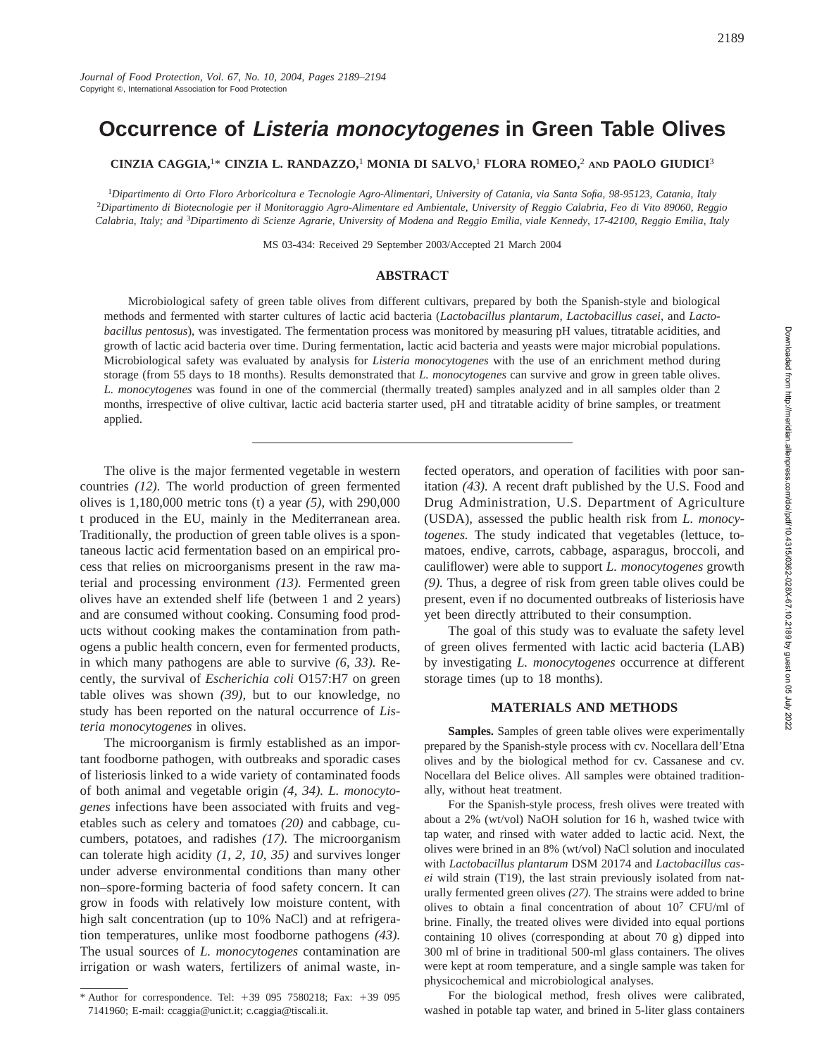# **Occurrence of Listeria monocytogenes in Green Table Olives**

**CINZIA CAGGIA,**1\* **CINZIA L. RANDAZZO,**<sup>1</sup> **MONIA DI SALVO,**<sup>1</sup> **FLORA ROMEO,**<sup>2</sup> **AND PAOLO GIUDICI**<sup>3</sup>

<sup>1</sup>*Dipartimento di Orto Floro Arboricoltura e Tecnologie Agro-Alimentari, University of Catania, via Santa Sofia, 98-95123, Catania, Italy* <sup>2</sup>*Dipartimento di Biotecnologie per il Monitoraggio Agro-Alimentare ed Ambientale, University of Reggio Calabria, Feo di Vito 89060, Reggio Calabria, Italy; and* <sup>3</sup>*Dipartimento di Scienze Agrarie, University of Modena and Reggio Emilia, viale Kennedy, 17-42100, Reggio Emilia, Italy*

MS 03-434: Received 29 September 2003/Accepted 21 March 2004

## **ABSTRACT**

Microbiological safety of green table olives from different cultivars, prepared by both the Spanish-style and biological methods and fermented with starter cultures of lactic acid bacteria (*Lactobacillus plantarum, Lactobacillus casei,* and *Lactobacillus pentosus*), was investigated. The fermentation process was monitored by measuring pH values, titratable acidities, and growth of lactic acid bacteria over time. During fermentation, lactic acid bacteria and yeasts were major microbial populations. Microbiological safety was evaluated by analysis for *Listeria monocytogenes* with the use of an enrichment method during storage (from 55 days to 18 months). Results demonstrated that *L. monocytogenes* can survive and grow in green table olives. *L. monocytogenes* was found in one of the commercial (thermally treated) samples analyzed and in all samples older than 2 months, irrespective of olive cultivar, lactic acid bacteria starter used, pH and titratable acidity of brine samples, or treatment applied.

The olive is the major fermented vegetable in western countries *(12).* The world production of green fermented olives is 1,180,000 metric tons (t) a year *(5),* with 290,000 t produced in the EU, mainly in the Mediterranean area. Traditionally, the production of green table olives is a spontaneous lactic acid fermentation based on an empirical process that relies on microorganisms present in the raw material and processing environment *(13).* Fermented green olives have an extended shelf life (between 1 and 2 years) and are consumed without cooking. Consuming food products without cooking makes the contamination from pathogens a public health concern, even for fermented products, in which many pathogens are able to survive *(6, 33).* Recently, the survival of *Escherichia coli* O157:H7 on green table olives was shown *(39),* but to our knowledge, no study has been reported on the natural occurrence of *Listeria monocytogenes* in olives.

The microorganism is firmly established as an important foodborne pathogen, with outbreaks and sporadic cases of listeriosis linked to a wide variety of contaminated foods of both animal and vegetable origin *(4, 34). L. monocytogenes* infections have been associated with fruits and vegetables such as celery and tomatoes *(20)* and cabbage, cucumbers, potatoes, and radishes *(17).* The microorganism can tolerate high acidity *(1, 2, 10, 35)* and survives longer under adverse environmental conditions than many other non–spore-forming bacteria of food safety concern. It can grow in foods with relatively low moisture content, with high salt concentration (up to 10% NaCl) and at refrigeration temperatures, unlike most foodborne pathogens *(43).* The usual sources of *L. monocytogenes* contamination are irrigation or wash waters, fertilizers of animal waste, in-

fected operators, and operation of facilities with poor sanitation *(43).* A recent draft published by the U.S. Food and Drug Administration, U.S. Department of Agriculture (USDA), assessed the public health risk from *L. monocytogenes.* The study indicated that vegetables (lettuce, tomatoes, endive, carrots, cabbage, asparagus, broccoli, and cauliflower) were able to support *L. monocytogenes* growth *(9).* Thus, a degree of risk from green table olives could be present, even if no documented outbreaks of listeriosis have yet been directly attributed to their consumption.

The goal of this study was to evaluate the safety level of green olives fermented with lactic acid bacteria (LAB) by investigating *L. monocytogenes* occurrence at different storage times (up to 18 months).

## **MATERIALS AND METHODS**

**Samples.** Samples of green table olives were experimentally prepared by the Spanish-style process with cv. Nocellara dell'Etna olives and by the biological method for cv. Cassanese and cv. Nocellara del Belice olives. All samples were obtained traditionally, without heat treatment.

For the Spanish-style process, fresh olives were treated with about a 2% (wt/vol) NaOH solution for 16 h, washed twice with tap water, and rinsed with water added to lactic acid. Next, the olives were brined in an 8% (wt/vol) NaCl solution and inoculated with *Lactobacillus plantarum* DSM 20174 and *Lactobacillus casei* wild strain (T19), the last strain previously isolated from naturally fermented green olives *(27).* The strains were added to brine olives to obtain a final concentration of about 107 CFU/ml of brine. Finally, the treated olives were divided into equal portions containing 10 olives (corresponding at about 70 g) dipped into 300 ml of brine in traditional 500-ml glass containers. The olives were kept at room temperature, and a single sample was taken for physicochemical and microbiological analyses.

For the biological method, fresh olives were calibrated, washed in potable tap water, and brined in 5-liter glass containers

<sup>\*</sup> Author for correspondence. Tel: 139 095 7580218; Fax: 139 095 7141960; E-mail: ccaggia@unict.it; c.caggia@tiscali.it.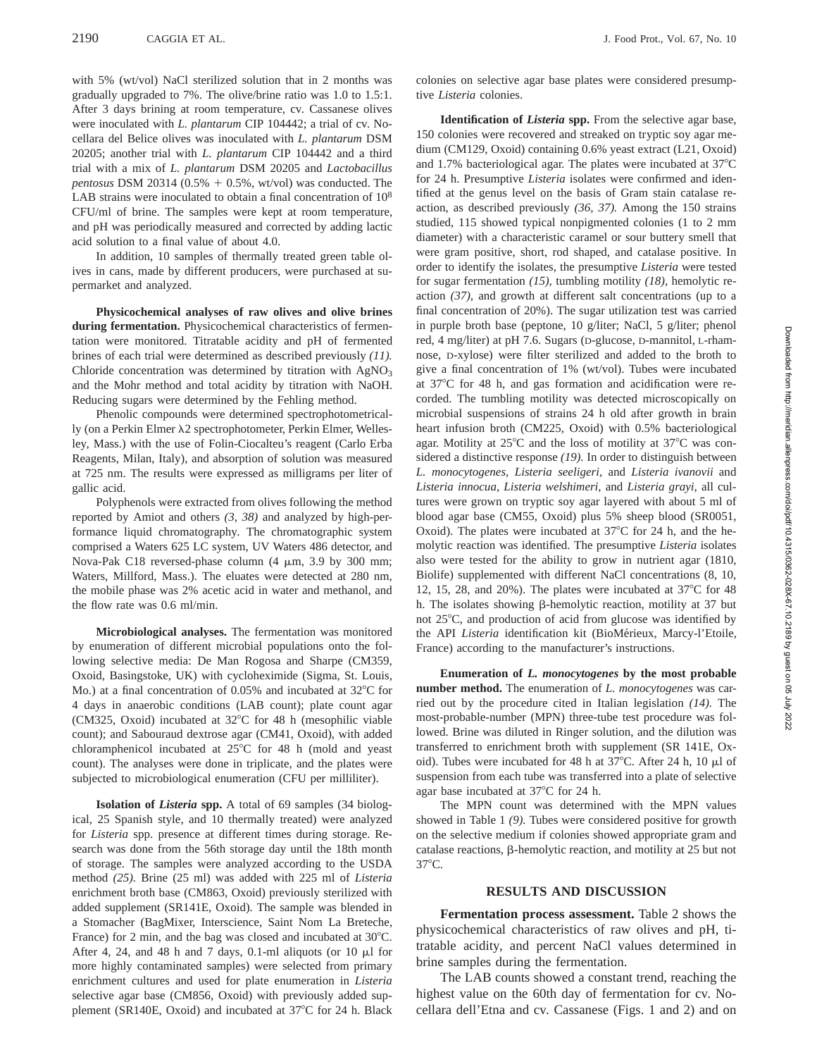with 5% (wt/vol) NaCl sterilized solution that in 2 months was gradually upgraded to 7%. The olive/brine ratio was 1.0 to 1.5:1. After 3 days brining at room temperature, cv. Cassanese olives were inoculated with *L. plantarum* CIP 104442; a trial of cv. Nocellara del Belice olives was inoculated with *L. plantarum* DSM 20205; another trial with *L. plantarum* CIP 104442 and a third trial with a mix of *L. plantarum* DSM 20205 and *Lactobacillus pentosus* DSM 20314 (0.5%  $+$  0.5%, wt/vol) was conducted. The LAB strains were inoculated to obtain a final concentration of  $10^8$ CFU/ml of brine. The samples were kept at room temperature, and pH was periodically measured and corrected by adding lactic acid solution to a final value of about 4.0.

In addition, 10 samples of thermally treated green table olives in cans, made by different producers, were purchased at supermarket and analyzed.

**Physicochemical analyses of raw olives and olive brines during fermentation.** Physicochemical characteristics of fermentation were monitored. Titratable acidity and pH of fermented brines of each trial were determined as described previously *(11).* Chloride concentration was determined by titration with  $AgNO<sub>3</sub>$ and the Mohr method and total acidity by titration with NaOH. Reducing sugars were determined by the Fehling method.

Phenolic compounds were determined spectrophotometrically (on a Perkin Elmer  $\lambda$ 2 spectrophotometer, Perkin Elmer, Wellesley, Mass.) with the use of Folin-Ciocalteu's reagent (Carlo Erba Reagents, Milan, Italy), and absorption of solution was measured at 725 nm. The results were expressed as milligrams per liter of gallic acid.

Polyphenols were extracted from olives following the method reported by Amiot and others *(3, 38)* and analyzed by high-performance liquid chromatography. The chromatographic system comprised a Waters 625 LC system, UV Waters 486 detector, and Nova-Pak C18 reversed-phase column (4  $\mu$ m, 3.9 by 300 mm; Waters, Millford, Mass.). The eluates were detected at 280 nm, the mobile phase was 2% acetic acid in water and methanol, and the flow rate was 0.6 ml/min.

**Microbiological analyses.** The fermentation was monitored by enumeration of different microbial populations onto the following selective media: De Man Rogosa and Sharpe (CM359, Oxoid, Basingstoke, UK) with cycloheximide (Sigma, St. Louis, Mo.) at a final concentration of  $0.05\%$  and incubated at  $32^{\circ}$ C for 4 days in anaerobic conditions (LAB count); plate count agar (CM325, Oxoid) incubated at  $32^{\circ}$ C for 48 h (mesophilic viable count); and Sabouraud dextrose agar (CM41, Oxoid), with added chloramphenicol incubated at  $25^{\circ}$ C for 48 h (mold and yeast count). The analyses were done in triplicate, and the plates were subjected to microbiological enumeration (CFU per milliliter).

**Isolation of** *Listeria* **spp.** A total of 69 samples (34 biological, 25 Spanish style, and 10 thermally treated) were analyzed for *Listeria* spp. presence at different times during storage. Research was done from the 56th storage day until the 18th month of storage. The samples were analyzed according to the USDA method *(25).* Brine (25 ml) was added with 225 ml of *Listeria* enrichment broth base (CM863, Oxoid) previously sterilized with added supplement (SR141E, Oxoid). The sample was blended in a Stomacher (BagMixer, Interscience, Saint Nom La Breteche, France) for 2 min, and the bag was closed and incubated at 30°C. After 4, 24, and 48 h and 7 days, 0.1-ml aliquots (or 10  $\mu$ l for more highly contaminated samples) were selected from primary enrichment cultures and used for plate enumeration in *Listeria* selective agar base (CM856, Oxoid) with previously added supplement (SR140E, Oxoid) and incubated at 37°C for 24 h. Black

colonies on selective agar base plates were considered presumptive *Listeria* colonies.

**Identification of** *Listeria* **spp.** From the selective agar base, 150 colonies were recovered and streaked on tryptic soy agar medium (CM129, Oxoid) containing 0.6% yeast extract (L21, Oxoid) and 1.7% bacteriological agar. The plates were incubated at  $37^{\circ}$ C for 24 h. Presumptive *Listeria* isolates were confirmed and identified at the genus level on the basis of Gram stain catalase reaction, as described previously *(36, 37).* Among the 150 strains studied, 115 showed typical nonpigmented colonies (1 to 2 mm diameter) with a characteristic caramel or sour buttery smell that were gram positive, short, rod shaped, and catalase positive. In order to identify the isolates, the presumptive *Listeria* were tested for sugar fermentation *(15),* tumbling motility *(18),* hemolytic reaction *(37),* and growth at different salt concentrations (up to a final concentration of 20%). The sugar utilization test was carried in purple broth base (peptone, 10 g/liter; NaCl, 5 g/liter; phenol red, 4 mg/liter) at pH 7.6. Sugars (D-glucose, D-mannitol, L-rhamnose, D-xylose) were filter sterilized and added to the broth to give a final concentration of 1% (wt/vol). Tubes were incubated at 37°C for 48 h, and gas formation and acidification were recorded. The tumbling motility was detected microscopically on microbial suspensions of strains 24 h old after growth in brain heart infusion broth (CM225, Oxoid) with 0.5% bacteriological agar. Motility at  $25^{\circ}$ C and the loss of motility at  $37^{\circ}$ C was considered a distinctive response *(19).* In order to distinguish between *L. monocytogenes, Listeria seeligeri,* and *Listeria ivanovii* and *Listeria innocua, Listeria welshimeri,* and *Listeria grayi,* all cultures were grown on tryptic soy agar layered with about 5 ml of blood agar base (CM55, Oxoid) plus 5% sheep blood (SR0051, Oxoid). The plates were incubated at  $37^{\circ}$ C for 24 h, and the hemolytic reaction was identified. The presumptive *Listeria* isolates also were tested for the ability to grow in nutrient agar (1810, Biolife) supplemented with different NaCl concentrations (8, 10, 12, 15, 28, and 20%). The plates were incubated at  $37^{\circ}$ C for 48 h. The isolates showing  $\beta$ -hemolytic reaction, motility at 37 but not  $25^{\circ}$ C, and production of acid from glucose was identified by the API *Listeria* identification kit (BioMérieux, Marcy-l'Etoile, France) according to the manufacturer's instructions.

**Enumeration of** *L. monocytogenes* **by the most probable number method.** The enumeration of *L. monocytogenes* was carried out by the procedure cited in Italian legislation *(14).* The most-probable-number (MPN) three-tube test procedure was followed. Brine was diluted in Ringer solution, and the dilution was transferred to enrichment broth with supplement (SR 141E, Oxoid). Tubes were incubated for 48 h at  $37^{\circ}$ C. After 24 h, 10 µl of suspension from each tube was transferred into a plate of selective agar base incubated at 37°C for 24 h.

The MPN count was determined with the MPN values showed in Table 1 *(9).* Tubes were considered positive for growth on the selective medium if colonies showed appropriate gram and catalase reactions,  $\beta$ -hemolytic reaction, and motility at 25 but not  $37^{\circ}$ C.

#### **RESULTS AND DISCUSSION**

**Fermentation process assessment.** Table 2 shows the physicochemical characteristics of raw olives and pH, titratable acidity, and percent NaCl values determined in brine samples during the fermentation.

The LAB counts showed a constant trend, reaching the highest value on the 60th day of fermentation for cv. Nocellara dell'Etna and cv. Cassanese (Figs. 1 and 2) and on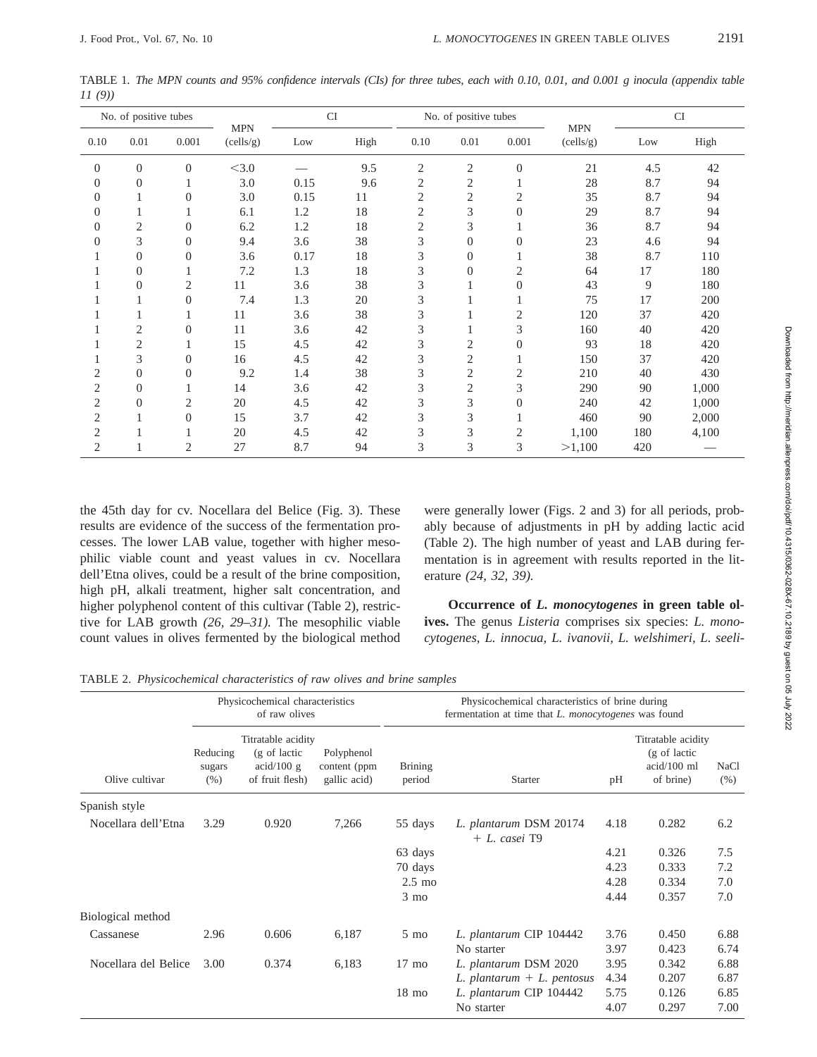| No. of positive tubes |                | <b>CI</b><br><b>MPN</b> |           | No. of positive tubes |      |                | <b>MPN</b>     | CI             |           |     |       |
|-----------------------|----------------|-------------------------|-----------|-----------------------|------|----------------|----------------|----------------|-----------|-----|-------|
| 0.10                  | 0.01           | 0.001                   | (cells/g) | Low                   | High | 0.10           | 0.01           | 0.001          | (cells/g) | Low | High  |
| $\overline{0}$        | $\theta$       | $\overline{0}$          | < 3.0     |                       | 9.5  | $\mathfrak{2}$ | $\overline{c}$ | $\overline{0}$ | 21        | 4.5 | 42    |
| $\theta$              | $\overline{0}$ | 1                       | 3.0       | 0.15                  | 9.6  | 2              | 2              |                | 28        | 8.7 | 94    |
| $\Omega$              | 1              | $\overline{0}$          | 3.0       | 0.15                  | 11   | $\overline{2}$ | 2              | 2              | 35        | 8.7 | 94    |
| 0                     | 1              | 1                       | 6.1       | 1.2                   | 18   | $\mathfrak{2}$ | 3              | $\theta$       | 29        | 8.7 | 94    |
| 0                     | $\overline{c}$ | $\overline{0}$          | 6.2       | 1.2                   | 18   | 2              | 3              |                | 36        | 8.7 | 94    |
| 0                     | 3              | $\overline{0}$          | 9.4       | 3.6                   | 38   | 3              | $\overline{0}$ | $\theta$       | 23        | 4.6 | 94    |
|                       | $\mathbf{0}$   | $\overline{0}$          | 3.6       | 0.17                  | 18   | 3              | $\Omega$       |                | 38        | 8.7 | 110   |
|                       | $\overline{0}$ |                         | 7.2       | 1.3                   | 18   | 3              | $\Omega$       | $\overline{2}$ | 64        | 17  | 180   |
|                       | $\overline{0}$ | $\overline{2}$          | 11        | 3.6                   | 38   | 3              |                | $\Omega$       | 43        | 9   | 180   |
|                       |                | $\overline{0}$          | 7.4       | 1.3                   | 20   | 3              |                |                | 75        | 17  | 200   |
|                       |                |                         | 11        | 3.6                   | 38   | 3              |                | 2              | 120       | 37  | 420   |
|                       | 2              | $\overline{0}$          | 11        | 3.6                   | 42   | 3              |                | 3              | 160       | 40  | 420   |
|                       | 2              | 1                       | 15        | 4.5                   | 42   | 3              | 2              | $\overline{0}$ | 93        | 18  | 420   |
|                       | 3              | $\overline{0}$          | 16        | 4.5                   | 42   | 3              | 2              |                | 150       | 37  | 420   |
| 2                     | $\mathbf{0}$   | $\overline{0}$          | 9.2       | 1.4                   | 38   | 3              | $\overline{c}$ | 2              | 210       | 40  | 430   |
| $\overline{2}$        | $\overline{0}$ | 1                       | 14        | 3.6                   | 42   | 3              | 2              | 3              | 290       | 90  | 1,000 |
| $\overline{c}$        | $\overline{0}$ | $\mathfrak{2}$          | 20        | 4.5                   | 42   | 3              | 3              | $\theta$       | 240       | 42  | 1,000 |
| $\overline{c}$        |                | $\overline{0}$          | 15        | 3.7                   | 42   | 3              | 3              |                | 460       | 90  | 2,000 |
| $\overline{c}$        |                |                         | 20        | 4.5                   | 42   | 3              | 3              | $\mathfrak{2}$ | 1,100     | 180 | 4,100 |
| $\overline{2}$        |                | 2                       | 27        | 8.7                   | 94   | 3              | 3              | 3              | >1,100    | 420 |       |

TABLE 1. *The MPN counts and 95% confidence intervals (CIs) for three tubes, each with 0.10, 0.01, and 0.001 g inocula (appendix table 11 (9))*

the 45th day for cv. Nocellara del Belice (Fig. 3). These results are evidence of the success of the fermentation processes. The lower LAB value, together with higher mesophilic viable count and yeast values in cv. Nocellara dell'Etna olives, could be a result of the brine composition, high pH, alkali treatment, higher salt concentration, and higher polyphenol content of this cultivar (Table 2), restrictive for LAB growth *(26, 29–31).* The mesophilic viable count values in olives fermented by the biological method

were generally lower (Figs. 2 and 3) for all periods, probably because of adjustments in pH by adding lactic acid (Table 2). The high number of yeast and LAB during fermentation is in agreement with results reported in the literature *(24, 32, 39).*

**Occurrence of** *L. monocytogenes* **in green table olives.** The genus *Listeria* comprises six species: *L. monocytogenes, L. innocua, L. ivanovii, L. welshimeri, L. seeli-*

TABLE 2. *Physicochemical characteristics of raw olives and brine samples*

|                      |                            | Physicochemical characteristics<br>of raw olives                           |                                            | Physicochemical characteristics of brine during<br>fermentation at time that L. monocytogenes was found |                                              |      |                                                                  |                     |  |  |
|----------------------|----------------------------|----------------------------------------------------------------------------|--------------------------------------------|---------------------------------------------------------------------------------------------------------|----------------------------------------------|------|------------------------------------------------------------------|---------------------|--|--|
| Olive cultivar       | Reducing<br>sugars<br>(% ) | Titratable acidity<br>(g of lactic<br>$\alpha$ id/100 g<br>of fruit flesh) | Polyphenol<br>content (ppm<br>gallic acid) | <b>Brining</b><br>period                                                                                | <b>Starter</b>                               | pH   | Titratable acidity<br>(g of lactic<br>$acid/100$ ml<br>of brine) | <b>NaCl</b><br>(% ) |  |  |
| Spanish style        |                            |                                                                            |                                            |                                                                                                         |                                              |      |                                                                  |                     |  |  |
| Nocellara dell'Etna  | 3.29                       | 0.920                                                                      | 7,266                                      | 55 days                                                                                                 | L. plantarum DSM 20174<br>$+ L. \; casei$ T9 | 4.18 | 0.282                                                            | 6.2                 |  |  |
|                      |                            |                                                                            |                                            | 63 days                                                                                                 |                                              | 4.21 | 0.326                                                            | 7.5                 |  |  |
|                      |                            |                                                                            |                                            | 70 days                                                                                                 |                                              | 4.23 | 0.333                                                            | 7.2                 |  |  |
|                      |                            |                                                                            |                                            | $2.5 \text{ mo}$                                                                                        |                                              | 4.28 | 0.334                                                            | 7.0                 |  |  |
|                      |                            |                                                                            |                                            | $3 \text{ mo}$                                                                                          |                                              | 4.44 | 0.357                                                            | 7.0                 |  |  |
| Biological method    |                            |                                                                            |                                            |                                                                                                         |                                              |      |                                                                  |                     |  |  |
| Cassanese            | 2.96                       | 0.606                                                                      | 6,187                                      | $5 \text{ mo}$                                                                                          | L. plantarum CIP 104442                      | 3.76 | 0.450                                                            | 6.88                |  |  |
|                      |                            |                                                                            |                                            |                                                                                                         | No starter                                   | 3.97 | 0.423                                                            | 6.74                |  |  |
| Nocellara del Belice | 3.00                       | 0.374                                                                      | 6,183                                      | $17 \text{ mo}$                                                                                         | L. plantarum DSM 2020                        | 3.95 | 0.342                                                            | 6.88                |  |  |
|                      |                            |                                                                            |                                            |                                                                                                         | L. plantarum $+$ L. pentosus                 | 4.34 | 0.207                                                            | 6.87                |  |  |
|                      |                            |                                                                            |                                            | $18 \text{ mo}$                                                                                         | L. plantarum CIP 104442                      | 5.75 | 0.126                                                            | 6.85                |  |  |
|                      |                            |                                                                            |                                            |                                                                                                         | No starter                                   | 4.07 | 0.297                                                            | 7.00                |  |  |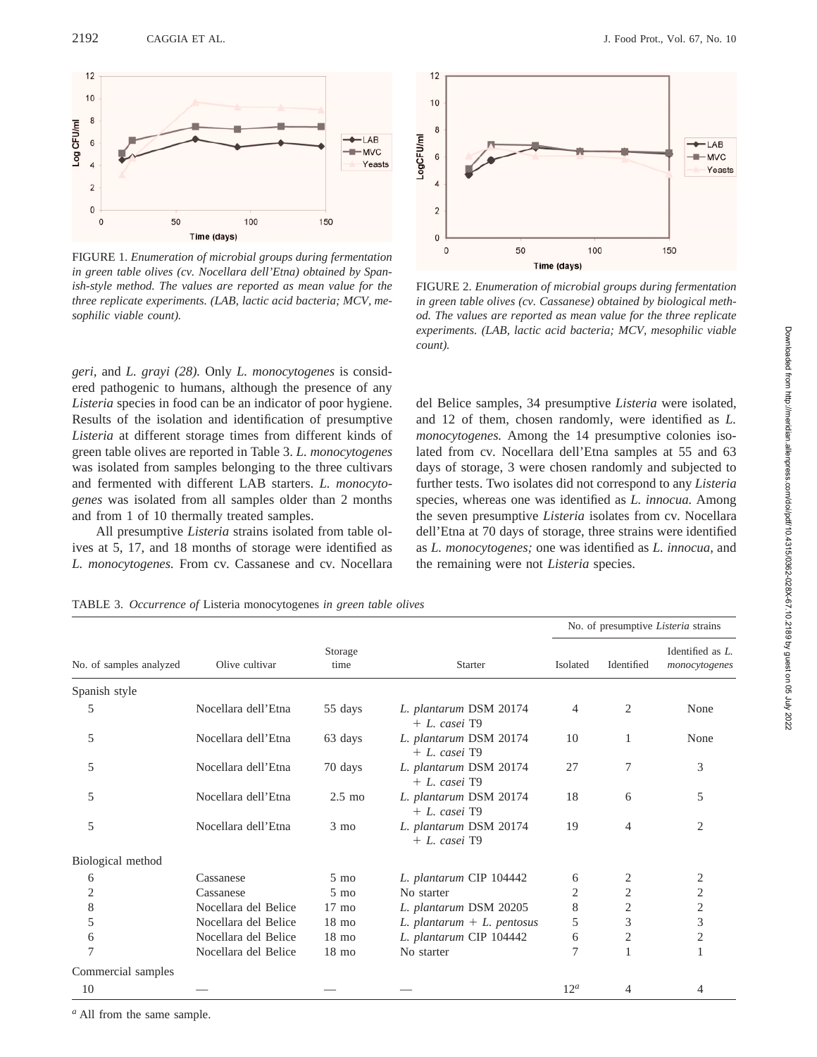2192 CAGGIA ET AL. J. Food Prot., Vol. 67, No. 10



FIGURE 1. *Enumeration of microbial groups during fermentation in green table olives (cv. Nocellara dell'Etna) obtained by Spanish-style method. The values are reported as mean value for the three replicate experiments. (LAB, lactic acid bacteria; MCV, mesophilic viable count).*

*geri,* and *L. grayi (28).* Only *L. monocytogenes* is considered pathogenic to humans, although the presence of any *Listeria* species in food can be an indicator of poor hygiene. Results of the isolation and identification of presumptive *Listeria* at different storage times from different kinds of green table olives are reported in Table 3. *L. monocytogenes* was isolated from samples belonging to the three cultivars and fermented with different LAB starters. *L. monocytogenes* was isolated from all samples older than 2 months and from 1 of 10 thermally treated samples.

All presumptive *Listeria* strains isolated from table olives at 5, 17, and 18 months of storage were identified as *L. monocytogenes.* From cv. Cassanese and cv. Nocellara

*<sup>a</sup>* All from the same sample.



FIGURE 2. *Enumeration of microbial groups during fermentation in green table olives (cv. Cassanese) obtained by biological method. The values are reported as mean value for the three replicate experiments. (LAB, lactic acid bacteria; MCV, mesophilic viable count).*

del Belice samples, 34 presumptive *Listeria* were isolated, and 12 of them, chosen randomly, were identified as *L. monocytogenes.* Among the 14 presumptive colonies isolated from cv. Nocellara dell'Etna samples at 55 and 63 days of storage, 3 were chosen randomly and subjected to further tests. Two isolates did not correspond to any *Listeria* species, whereas one was identified as *L. innocua.* Among the seven presumptive *Listeria* isolates from cv. Nocellara dell'Etna at 70 days of storage, three strains were identified as *L. monocytogenes;* one was identified as *L. innocua,* and the remaining were not *Listeria* species.

TABLE 3. *Occurrence of* Listeria monocytogenes *in green table olives*

|                         |                      |                  |                                              | No. of presumptive <i>Listeria</i> strains |                |                                   |  |
|-------------------------|----------------------|------------------|----------------------------------------------|--------------------------------------------|----------------|-----------------------------------|--|
| No. of samples analyzed | Olive cultivar       | Storage<br>time  | <b>Starter</b>                               | Isolated                                   | Identified     | Identified as L.<br>monocytogenes |  |
| Spanish style           |                      |                  |                                              |                                            |                |                                   |  |
| 5                       | Nocellara dell'Etna  | 55 days          | L. plantarum DSM 20174<br>$+ L. \; casei$ T9 | 4                                          | 2              | None                              |  |
| 5                       | Nocellara dell'Etna  | 63 days          | L. plantarum DSM 20174<br>$+ L$ casei T9     | 10                                         |                | None                              |  |
| 5                       | Nocellara dell'Etna  | 70 days          | L. plantarum DSM 20174<br>$+ L. \; casei$ T9 | 27                                         | 7              | 3                                 |  |
| 5                       | Nocellara dell'Etna  | $2.5 \text{ mo}$ | L. plantarum DSM 20174<br>$+ L. \; casei$ T9 | 18                                         | 6              | 5                                 |  |
| 5                       | Nocellara dell'Etna  | $3 \text{ mo}$   | L. plantarum DSM 20174<br>$+ L. \; casei$ T9 | 19                                         | 4              | $\overline{2}$                    |  |
| Biological method       |                      |                  |                                              |                                            |                |                                   |  |
| 6                       | Cassanese            | $5 \text{ mo}$   | L. plantarum CIP 104442                      | 6                                          | 2              | 2                                 |  |
| $\overline{c}$          | Cassanese            | $5 \text{ mo}$   | No starter                                   | 2                                          | $\overline{2}$ | 2                                 |  |
| 8                       | Nocellara del Belice | $17 \text{ mo}$  | L. plantarum DSM 20205                       | 8                                          | $\overline{c}$ | $\overline{c}$                    |  |
| 5                       | Nocellara del Belice | $18 \text{ mo}$  | $L.$ plantarum + $L.$ pentosus               | 5                                          | 3              | 3                                 |  |
| 6                       | Nocellara del Belice | $18 \text{ mo}$  | L. plantarum CIP 104442                      | 6                                          | 2              | 2                                 |  |
| 7                       | Nocellara del Belice | $18 \text{ mo}$  | No starter                                   | 7                                          |                |                                   |  |
| Commercial samples      |                      |                  |                                              |                                            |                |                                   |  |
| 10                      |                      |                  |                                              | 12 <sup>a</sup>                            | 4              | 4                                 |  |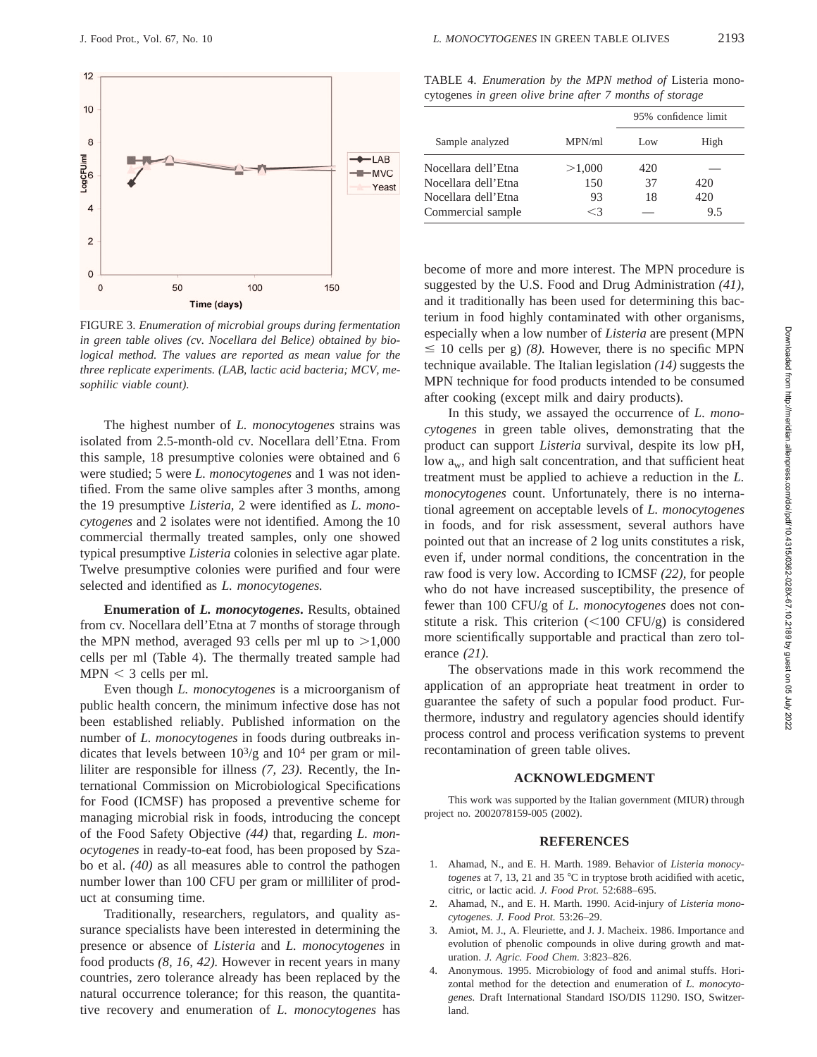

FIGURE 3. *Enumeration of microbial groups during fermentation in green table olives (cv. Nocellara del Belice) obtained by biological method. The values are reported as mean value for the three replicate experiments. (LAB, lactic acid bacteria; MCV, mesophilic viable count).*

The highest number of *L. monocytogenes* strains was isolated from 2.5-month-old cv. Nocellara dell'Etna. From this sample, 18 presumptive colonies were obtained and 6 were studied; 5 were *L. monocytogenes* and 1 was not identified. From the same olive samples after 3 months, among the 19 presumptive *Listeria,* 2 were identified as *L. monocytogenes* and 2 isolates were not identified. Among the 10 commercial thermally treated samples, only one showed typical presumptive *Listeria* colonies in selective agar plate. Twelve presumptive colonies were purified and four were selected and identified as *L. monocytogenes.*

**Enumeration of** *L. monocytogenes***.** Results, obtained from cv. Nocellara dell'Etna at 7 months of storage through the MPN method, averaged 93 cells per ml up to  $>1,000$ cells per ml (Table 4). The thermally treated sample had  $MPN < 3$  cells per ml.

Even though *L. monocytogenes* is a microorganism of public health concern, the minimum infective dose has not been established reliably. Published information on the number of *L. monocytogenes* in foods during outbreaks indicates that levels between  $10^{3}/g$  and  $10^{4}$  per gram or milliliter are responsible for illness *(7, 23).* Recently, the International Commission on Microbiological Specifications for Food (ICMSF) has proposed a preventive scheme for managing microbial risk in foods, introducing the concept of the Food Safety Objective *(44)* that, regarding *L. monocytogenes* in ready-to-eat food, has been proposed by Szabo et al. *(40)* as all measures able to control the pathogen number lower than 100 CFU per gram or milliliter of product at consuming time.

Traditionally, researchers, regulators, and quality assurance specialists have been interested in determining the presence or absence of *Listeria* and *L. monocytogenes* in food products *(8, 16, 42).* However in recent years in many countries, zero tolerance already has been replaced by the natural occurrence tolerance; for this reason, the quantitative recovery and enumeration of *L. monocytogenes* has

TABLE 4. *Enumeration by the MPN method of* Listeria monocytogenes *in green olive brine after 7 months of storage*

|                     |        | 95% confidence limit |      |  |
|---------------------|--------|----------------------|------|--|
| Sample analyzed     | MPN/ml | Low                  | High |  |
| Nocellara dell'Etna | >1,000 | 420                  |      |  |
| Nocellara dell'Etna | 150    | 37                   | 420  |  |
| Nocellara dell'Etna | 93     | 18                   | 420  |  |
| Commercial sample   | <3     |                      | 9.5  |  |

become of more and more interest. The MPN procedure is suggested by the U.S. Food and Drug Administration *(41),* and it traditionally has been used for determining this bacterium in food highly contaminated with other organisms, especially when a low number of *Listeria* are present (MPN  $\leq$  10 cells per g) *(8)*. However, there is no specific MPN technique available. The Italian legislation *(14)* suggests the MPN technique for food products intended to be consumed after cooking (except milk and dairy products).

In this study, we assayed the occurrence of *L. monocytogenes* in green table olives, demonstrating that the product can support *Listeria* survival, despite its low pH, low  $a_w$ , and high salt concentration, and that sufficient heat treatment must be applied to achieve a reduction in the *L. monocytogenes* count. Unfortunately, there is no international agreement on acceptable levels of *L. monocytogenes* in foods, and for risk assessment, several authors have pointed out that an increase of 2 log units constitutes a risk, even if, under normal conditions, the concentration in the raw food is very low. According to ICMSF *(22),* for people who do not have increased susceptibility, the presence of fewer than 100 CFU/g of *L. monocytogenes* does not constitute a risk. This criterion  $\left(\langle 100 \text{ CFU/g} \right)$  is considered more scientifically supportable and practical than zero tolerance *(21).*

The observations made in this work recommend the application of an appropriate heat treatment in order to guarantee the safety of such a popular food product. Furthermore, industry and regulatory agencies should identify process control and process verification systems to prevent recontamination of green table olives.

## **ACKNOWLEDGMENT**

This work was supported by the Italian government (MIUR) through project no. 2002078159-005 (2002).

#### **REFERENCES**

- 1. Ahamad, N., and E. H. Marth. 1989. Behavior of *Listeria monocytogenes* at 7, 13, 21 and 35  $^{\circ}$ C in tryptose broth acidified with acetic, citric, or lactic acid. *J. Food Prot.* 52:688–695.
- 2. Ahamad, N., and E. H. Marth. 1990. Acid-injury of *Listeria monocytogenes. J. Food Prot.* 53:26–29.
- 3. Amiot, M. J., A. Fleuriette, and J. J. Macheix. 1986. Importance and evolution of phenolic compounds in olive during growth and maturation. *J. Agric. Food Chem.* 3:823–826.
- 4. Anonymous. 1995. Microbiology of food and animal stuffs. Horizontal method for the detection and enumeration of *L. monocytogenes.* Draft International Standard ISO/DIS 11290. ISO, Switzerland.